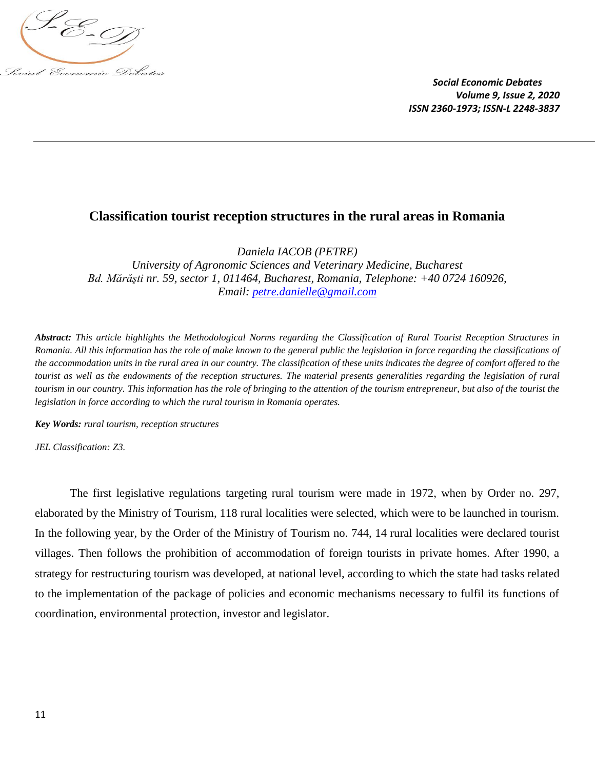

# **Classification tourist reception structures in the rural areas in Romania**

*Daniela IACOB (PETRE) University of Agronomic Sciences and Veterinary Medicine, Bucharest Bd. Mărăşti nr. 59, sector 1, 011464, Bucharest, Romania, Telephone: +40 0724 160926, Email: [petre.danielle@gmail.com](mailto:petre.danielle@gmail.com)*

*Abstract: This article highlights the Methodological Norms regarding the Classification of Rural Tourist Reception Structures in Romania. All this information has the role of make known to the general public the legislation in force regarding the classifications of the accommodation units in the rural area in our country. The classification of these units indicates the degree of comfort offered to the tourist as well as the endowments of the reception structures. The material presents generalities regarding the legislation of rural tourism in our country. This information has the role of bringing to the attention of the tourism entrepreneur, but also of the tourist the legislation in force according to which the rural tourism in Romania operates.*

*Key Words: rural tourism, reception structures* 

*JEL Classification: Z3.*

The first legislative regulations targeting rural tourism were made in 1972, when by Order no. 297, elaborated by the Ministry of Tourism, 118 rural localities were selected, which were to be launched in tourism. In the following year, by the Order of the Ministry of Tourism no. 744, 14 rural localities were declared tourist villages. Then follows the prohibition of accommodation of foreign tourists in private homes. After 1990, a strategy for restructuring tourism was developed, at national level, according to which the state had tasks related to the implementation of the package of policies and economic mechanisms necessary to fulfil its functions of coordination, environmental protection, investor and legislator.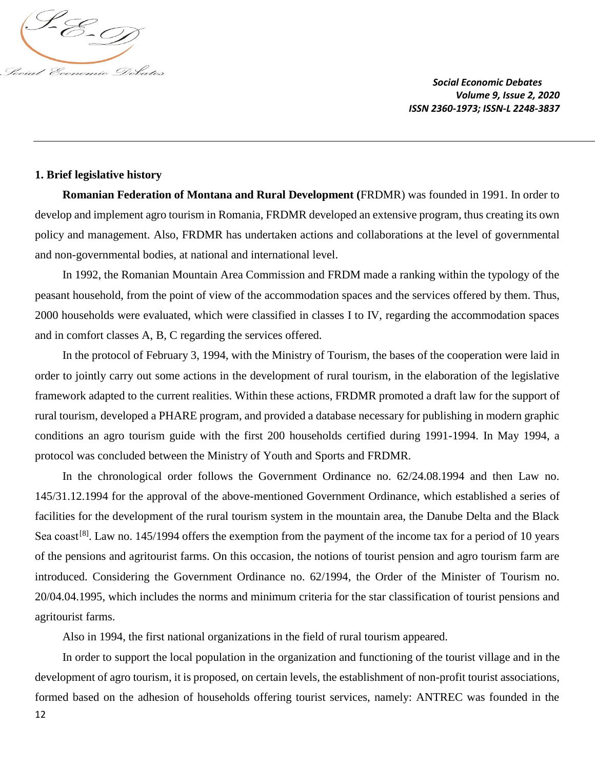

### **1. Brief legislative history**

**Romanian Federation of Montana and Rural Development (**FRDMR) was founded in 1991. In order to develop and implement agro tourism in Romania, FRDMR developed an extensive program, thus creating its own policy and management. Also, FRDMR has undertaken actions and collaborations at the level of governmental and non-governmental bodies, at national and international level.

In 1992, the Romanian Mountain Area Commission and FRDM made a ranking within the typology of the peasant household, from the point of view of the accommodation spaces and the services offered by them. Thus, 2000 households were evaluated, which were classified in classes I to IV, regarding the accommodation spaces and in comfort classes A, B, C regarding the services offered.

In the protocol of February 3, 1994, with the Ministry of Tourism, the bases of the cooperation were laid in order to jointly carry out some actions in the development of rural tourism, in the elaboration of the legislative framework adapted to the current realities. Within these actions, FRDMR promoted a draft law for the support of rural tourism, developed a PHARE program, and provided a database necessary for publishing in modern graphic conditions an agro tourism guide with the first 200 households certified during 1991-1994. In May 1994, a protocol was concluded between the Ministry of Youth and Sports and FRDMR.

In the chronological order follows the Government Ordinance no. 62/24.08.1994 and then Law no. 145/31.12.1994 for the approval of the above-mentioned Government Ordinance, which established a series of facilities for the development of the rural tourism system in the mountain area, the Danube Delta and the Black Sea coast<sup>[8]</sup>. Law no. 145/1994 offers the exemption from the payment of the income tax for a period of 10 years of the pensions and agritourist farms. On this occasion, the notions of tourist pension and agro tourism farm are introduced. Considering the Government Ordinance no. 62/1994, the Order of the Minister of Tourism no. 20/04.04.1995, which includes the norms and minimum criteria for the star classification of tourist pensions and agritourist farms.

Also in 1994, the first national organizations in the field of rural tourism appeared.

12 In order to support the local population in the organization and functioning of the tourist village and in the development of agro tourism, it is proposed, on certain levels, the establishment of non-profit tourist associations, formed based on the adhesion of households offering tourist services, namely: ANTREC was founded in the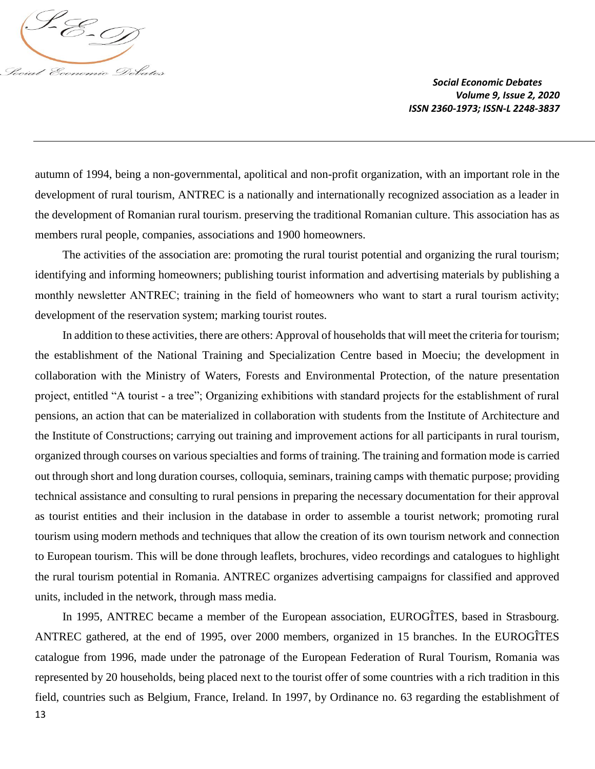

autumn of 1994, being a non-governmental, apolitical and non-profit organization, with an important role in the development of rural tourism, ANTREC is a nationally and internationally recognized association as a leader in the development of Romanian rural tourism. preserving the traditional Romanian culture. This association has as members rural people, companies, associations and 1900 homeowners.

The activities of the association are: promoting the rural tourist potential and organizing the rural tourism; identifying and informing homeowners; publishing tourist information and advertising materials by publishing a monthly newsletter ANTRЕС; training in the field of homeowners who want to start a rural tourism activity; development of the reservation system; marking tourist routes.

In addition to these activities, there are others: Approval of households that will meet the criteria for tourism; the establishment of the National Training and Specialization Centre based in Moeciu; the development in collaboration with the Ministry of Waters, Forests and Environmental Protection, of the nature presentation project, entitled "A tourist - a tree"; Organizing exhibitions with standard projects for the establishment of rural pensions, an action that can be materialized in collaboration with students from the Institute of Architecture and the Institute of Constructions; carrying out training and improvement actions for all participants in rural tourism, organized through courses on various specialties and forms of training. The training and formation mode is carried out through short and long duration courses, colloquia, seminars, training camps with thematic purpose; providing technical assistance and consulting to rural pensions in preparing the necessary documentation for their approval as tourist entities and their inclusion in the database in order to assemble a tourist network; promoting rural tourism using modern methods and techniques that allow the creation of its own tourism network and connection to European tourism. This will be done through leaflets, brochures, video recordings and catalogues to highlight the rural tourism potential in Romania. ANTREC organizes advertising campaigns for classified and approved units, included in the network, through mass media.

13 In 1995, ANTREC became a member of the European association, EUROGÎTES, based in Strasbourg. ANTREC gathered, at the end of 1995, over 2000 members, organized in 15 branches. In the EUROGÎTES catalogue from 1996, made under the patronage of the European Federation of Rural Tourism, Romania was represented by 20 households, being placed next to the tourist offer of some countries with a rich tradition in this field, countries such as Belgium, France, Ireland. In 1997, by Ordinance no. 63 regarding the establishment of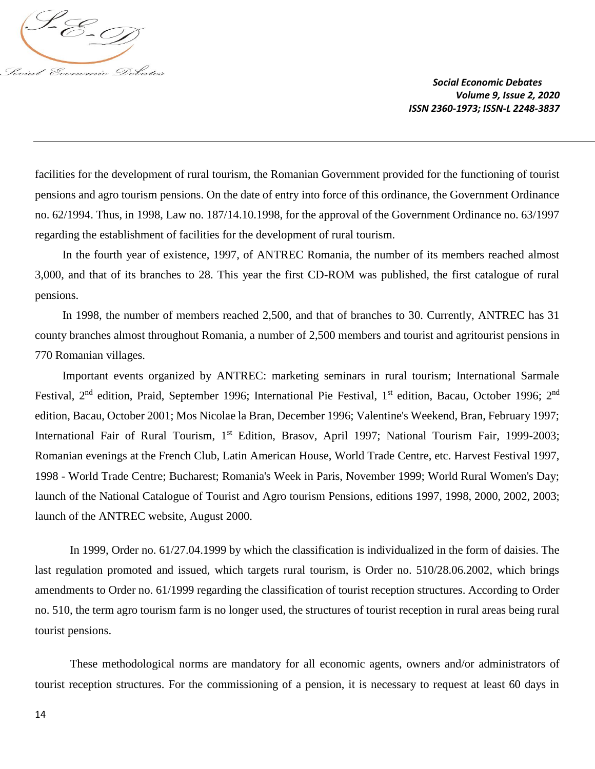

facilities for the development of rural tourism, the Romanian Government provided for the functioning of tourist pensions and agro tourism pensions. On the date of entry into force of this ordinance, the Government Ordinance no. 62/1994. Thus, in 1998, Law no. 187/14.10.1998, for the approval of the Government Ordinance no. 63/1997 regarding the establishment of facilities for the development of rural tourism.

In the fourth year of existence, 1997, of ANTREC Romania, the number of its members reached almost 3,000, and that of its branches to 28. This year the first CD-ROM was published, the first catalogue of rural pensions.

In 1998, the number of members reached 2,500, and that of branches to 30. Currently, ANTREC has 31 county branches almost throughout Romania, a number of 2,500 members and tourist and agritourist pensions in 770 Romanian villages.

Important events organized by ANTREC: marketing seminars in rural tourism; International Sarmale Festival, 2<sup>nd</sup> edition, Praid, September 1996; International Pie Festival, 1<sup>st</sup> edition, Bacau, October 1996; 2<sup>nd</sup> edition, Bacau, October 2001; Mos Nicolae la Bran, December 1996; Valentine's Weekend, Bran, February 1997; International Fair of Rural Tourism, 1<sup>st</sup> Edition, Brasov, April 1997; National Tourism Fair, 1999-2003; Romanian evenings at the French Club, Latin American House, World Trade Centre, etc. Harvest Festival 1997, 1998 - World Trade Centre; Bucharest; Romania's Week in Paris, November 1999; World Rural Women's Day; launch of the National Catalogue of Tourist and Agro tourism Pensions, editions 1997, 1998, 2000, 2002, 2003; launch of the ANTREC website, August 2000.

In 1999, Order no. 61/27.04.1999 by which the classification is individualized in the form of daisies. The last regulation promoted and issued, which targets rural tourism, is Order no. 510/28.06.2002, which brings amendments to Order no. 61/1999 regarding the classification of tourist reception structures. According to Order no. 510, the term agro tourism farm is no longer used, the structures of tourist reception in rural areas being rural tourist pensions.

These methodological norms are mandatory for all economic agents, owners and/or administrators of tourist reception structures. For the commissioning of a pension, it is necessary to request at least 60 days in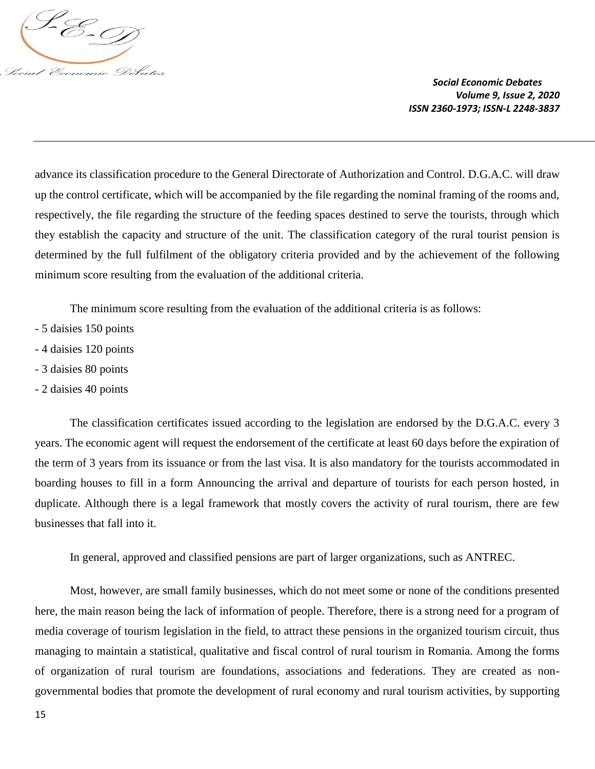

advance its classification procedure to the General Directorate of Authorization and Control. D.G.A.C. will draw up the control certificate, which will be accompanied by the file regarding the nominal framing of the rooms and, respectively, the file regarding the structure of the feeding spaces destined to serve the tourists, through which they establish the capacity and structure of the unit. The classification category of the rural tourist pension is determined by the full fulfilment of the obligatory criteria provided and by the achievement of the following minimum score resulting from the evaluation of the additional criteria.

The minimum score resulting from the evaluation of the additional criteria is as follows:

- 5 daisies 150 points
- 4 daisies 120 points
- 3 daisies 80 points
- 2 daisies 40 points

The classification certificates issued according to the legislation are endorsed by the D.G.A.C. every 3 years. The economic agent will request the endorsement of the certificate at least 60 days before the expiration of the term of 3 years from its issuance or from the last visa. It is also mandatory for the tourists accommodated in boarding houses to fill in a form Announcing the arrival and departure of tourists for each person hosted, in duplicate. Although there is a legal framework that mostly covers the activity of rural tourism, there are few businesses that fall into it.

In general, approved and classified pensions are part of larger organizations, such as ANTREC.

Most, however, are small family businesses, which do not meet some or none of the conditions presented here, the main reason being the lack of information of people. Therefore, there is a strong need for a program of media coverage of tourism legislation in the field, to attract these pensions in the organized tourism circuit, thus managing to maintain a statistical, qualitative and fiscal control of rural tourism in Romania. Among the forms of organization of rural tourism are foundations, associations and federations. They are created as nongovernmental bodies that promote the development of rural economy and rural tourism activities, by supporting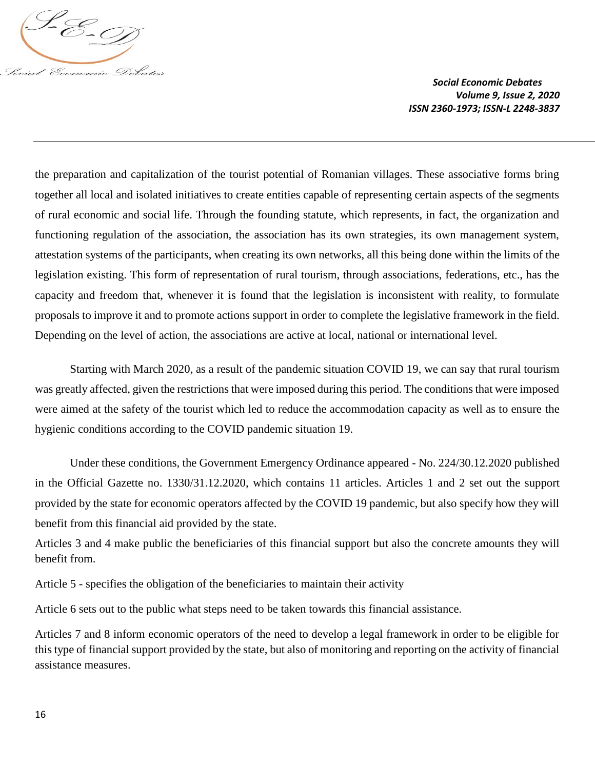

the preparation and capitalization of the tourist potential of Romanian villages. These associative forms bring together all local and isolated initiatives to create entities capable of representing certain aspects of the segments of rural economic and social life. Through the founding statute, which represents, in fact, the organization and functioning regulation of the association, the association has its own strategies, its own management system, attestation systems of the participants, when creating its own networks, all this being done within the limits of the legislation existing. This form of representation of rural tourism, through associations, federations, etc., has the capacity and freedom that, whenever it is found that the legislation is inconsistent with reality, to formulate proposals to improve it and to promote actions support in order to complete the legislative framework in the field. Depending on the level of action, the associations are active at local, national or international level.

Starting with March 2020, as a result of the pandemic situation COVID 19, we can say that rural tourism was greatly affected, given the restrictions that were imposed during this period. The conditions that were imposed were aimed at the safety of the tourist which led to reduce the accommodation capacity as well as to ensure the hygienic conditions according to the COVID pandemic situation 19.

Under these conditions, the Government Emergency Ordinance appeared - No. 224/30.12.2020 published in the Official Gazette no. 1330/31.12.2020, which contains 11 articles. Articles 1 and 2 set out the support provided by the state for economic operators affected by the COVID 19 pandemic, but also specify how they will benefit from this financial aid provided by the state.

Articles 3 and 4 make public the beneficiaries of this financial support but also the concrete amounts they will benefit from.

Article 5 - specifies the obligation of the beneficiaries to maintain their activity

Article 6 sets out to the public what steps need to be taken towards this financial assistance.

Articles 7 and 8 inform economic operators of the need to develop a legal framework in order to be eligible for this type of financial support provided by the state, but also of monitoring and reporting on the activity of financial assistance measures.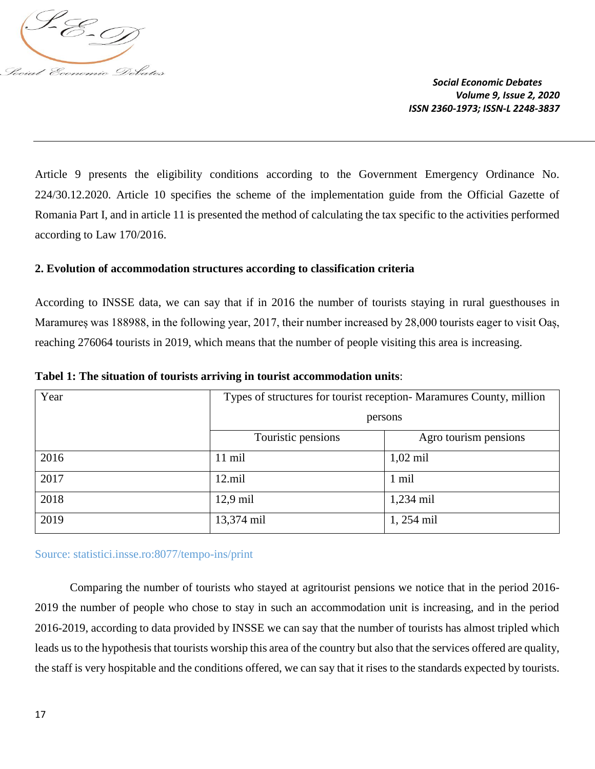

Article 9 presents the eligibility conditions according to the Government Emergency Ordinance No. 224/30.12.2020. Article 10 specifies the scheme of the implementation guide from the Official Gazette of Romania Part I, and in article 11 is presented the method of calculating the tax specific to the activities performed according to Law 170/2016.

## **2. Evolution of accommodation structures according to classification criteria**

According to INSSE data, we can say that if in 2016 the number of tourists staying in rural guesthouses in Maramures was 188988, in the following year, 2017, their number increased by 28,000 tourists eager to visit Oas, reaching 276064 tourists in 2019, which means that the number of people visiting this area is increasing.

| Year | Types of structures for tourist reception-Maramures County, million<br>persons |                       |
|------|--------------------------------------------------------------------------------|-----------------------|
|      | Touristic pensions                                                             | Agro tourism pensions |
|      |                                                                                |                       |
| 2016 | 11 mil                                                                         | $1,02 \text{ mil}$    |
| 2017 | $12$ .mil                                                                      | 1 mil                 |
| 2018 | $12,9$ mil                                                                     | $1,234$ mil           |
| 2019 | 13,374 mil                                                                     | 1, 254 mil            |

**Tabel 1: The situation of tourists arriving in tourist accommodation units**:

Source: statistici.insse.ro:8077/tempo-ins/print

Comparing the number of tourists who stayed at agritourist pensions we notice that in the period 2016- 2019 the number of people who chose to stay in such an accommodation unit is increasing, and in the period 2016-2019, according to data provided by INSSE we can say that the number of tourists has almost tripled which leads us to the hypothesis that tourists worship this area of the country but also that the services offered are quality, the staff is very hospitable and the conditions offered, we can say that it rises to the standards expected by tourists.